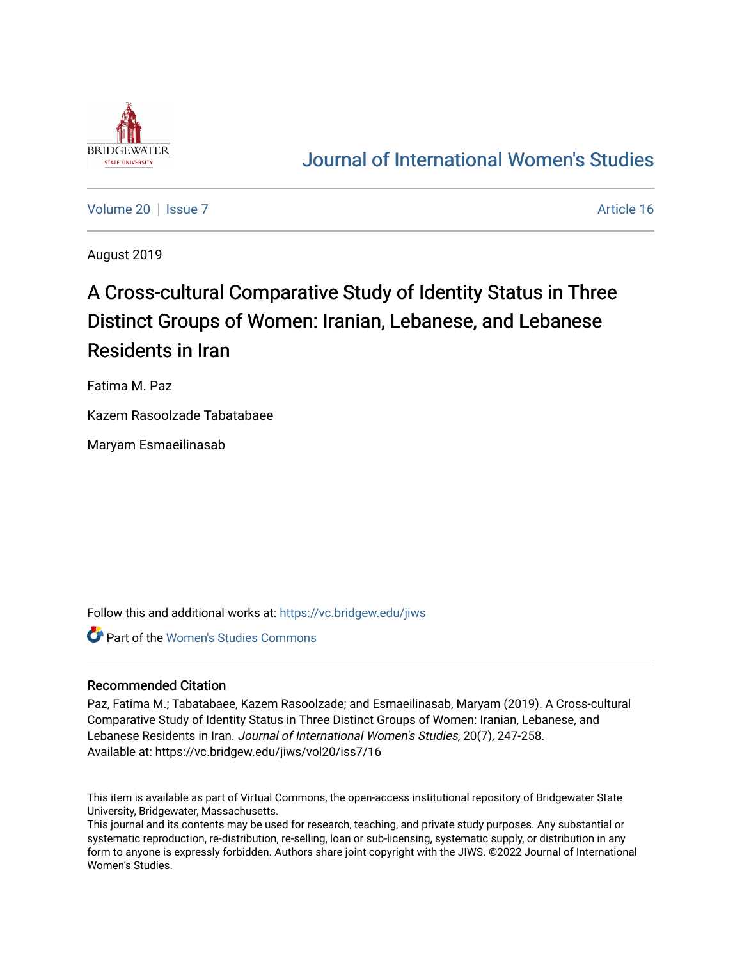

# [Journal of International Women's Studies](https://vc.bridgew.edu/jiws)

[Volume 20](https://vc.bridgew.edu/jiws/vol20) | [Issue 7](https://vc.bridgew.edu/jiws/vol20/iss7) Article 16

August 2019

# A Cross-cultural Comparative Study of Identity Status in Three Distinct Groups of Women: Iranian, Lebanese, and Lebanese Residents in Iran

Fatima M. Paz

Kazem Rasoolzade Tabatabaee

Maryam Esmaeilinasab

Follow this and additional works at: [https://vc.bridgew.edu/jiws](https://vc.bridgew.edu/jiws?utm_source=vc.bridgew.edu%2Fjiws%2Fvol20%2Fiss7%2F16&utm_medium=PDF&utm_campaign=PDFCoverPages)

Part of the [Women's Studies Commons](http://network.bepress.com/hgg/discipline/561?utm_source=vc.bridgew.edu%2Fjiws%2Fvol20%2Fiss7%2F16&utm_medium=PDF&utm_campaign=PDFCoverPages) 

#### Recommended Citation

Paz, Fatima M.; Tabatabaee, Kazem Rasoolzade; and Esmaeilinasab, Maryam (2019). A Cross-cultural Comparative Study of Identity Status in Three Distinct Groups of Women: Iranian, Lebanese, and Lebanese Residents in Iran. Journal of International Women's Studies, 20(7), 247-258. Available at: https://vc.bridgew.edu/jiws/vol20/iss7/16

This item is available as part of Virtual Commons, the open-access institutional repository of Bridgewater State University, Bridgewater, Massachusetts.

This journal and its contents may be used for research, teaching, and private study purposes. Any substantial or systematic reproduction, re-distribution, re-selling, loan or sub-licensing, systematic supply, or distribution in any form to anyone is expressly forbidden. Authors share joint copyright with the JIWS. ©2022 Journal of International Women's Studies.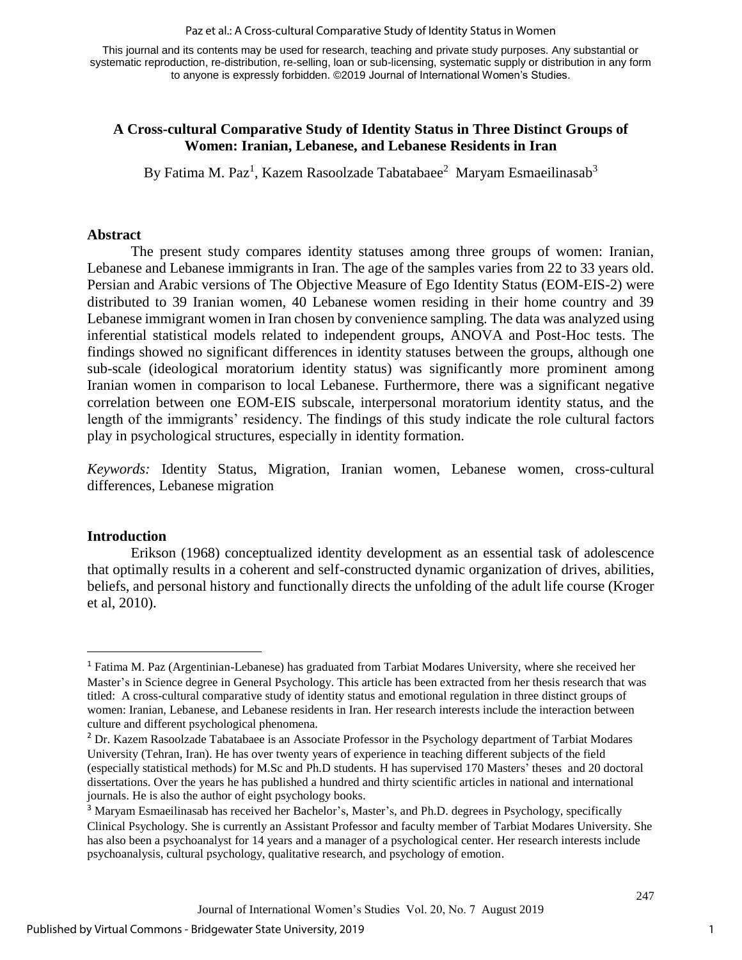Paz et al.: A Cross-cultural Comparative Study of Identity Status in Women

This journal and its contents may be used for research, teaching and private study purposes. Any substantial or systematic reproduction, re-distribution, re-selling, loan or sub-licensing, systematic supply or distribution in any form to anyone is expressly forbidden. ©2019 Journal of International Women's Studies.

# **A Cross-cultural Comparative Study of Identity Status in Three Distinct Groups of Women: Iranian, Lebanese, and Lebanese Residents in Iran**

By Fatima M. Paz<sup>1</sup>, Kazem Rasoolzade Tabatabaee<sup>2</sup> Maryam Esmaeilinasab<sup>3</sup>

# **Abstract**

The present study compares identity statuses among three groups of women: Iranian, Lebanese and Lebanese immigrants in Iran. The age of the samples varies from 22 to 33 years old. Persian and Arabic versions of The Objective Measure of Ego Identity Status (EOM-EIS-2) were distributed to 39 Iranian women, 40 Lebanese women residing in their home country and 39 Lebanese immigrant women in Iran chosen by convenience sampling. The data was analyzed using inferential statistical models related to independent groups, ANOVA and Post-Hoc tests. The findings showed no significant differences in identity statuses between the groups, although one sub-scale (ideological moratorium identity status) was significantly more prominent among Iranian women in comparison to local Lebanese. Furthermore, there was a significant negative correlation between one EOM-EIS subscale, interpersonal moratorium identity status, and the length of the immigrants' residency. The findings of this study indicate the role cultural factors play in psychological structures, especially in identity formation.

*Keywords:* Identity Status, Migration, Iranian women, Lebanese women, cross-cultural differences, Lebanese migration

# **Introduction**

 $\overline{a}$ 

Erikson (1968) conceptualized identity development as an essential task of adolescence that optimally results in a coherent and self-constructed dynamic organization of drives, abilities, beliefs, and personal history and functionally directs the unfolding of the adult life course (Kroger et al, 2010).

<sup>1</sup> Fatima M. Paz (Argentinian-Lebanese) has graduated from Tarbiat Modares University, where she received her Master's in Science degree in General Psychology. This article has been extracted from her thesis research that was titled: A cross-cultural comparative study of identity status and emotional regulation in three distinct groups of women: Iranian, Lebanese, and Lebanese residents in Iran. Her research interests include the interaction between culture and different psychological phenomena.

<sup>&</sup>lt;sup>2</sup> Dr. Kazem Rasoolzade Tabatabaee is an Associate Professor in the Psychology department of Tarbiat Modares University (Tehran, Iran). He has over twenty years of experience in teaching different subjects of the field (especially statistical methods) for M.Sc and Ph.D students. H has supervised 170 Masters' theses and 20 doctoral dissertations. Over the years he has published a hundred and thirty scientific articles in national and international journals. He is also the author of eight psychology books.

<sup>&</sup>lt;sup>3</sup> Maryam Esmaeilinasab has received her Bachelor's, Master's, and Ph.D. degrees in Psychology, specifically Clinical Psychology. She is currently an Assistant Professor and faculty member of Tarbiat Modares University. She has also been a psychoanalyst for 14 years and a manager of a psychological center. Her research interests include psychoanalysis, cultural psychology, qualitative research, and psychology of emotion.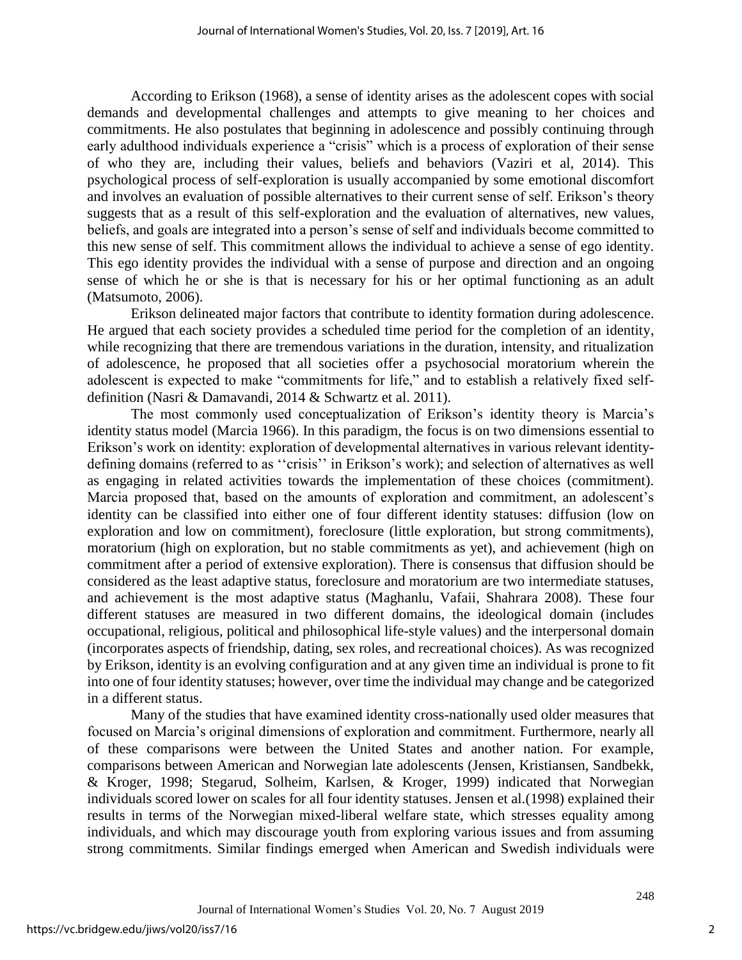According to Erikson (1968), a sense of identity arises as the adolescent copes with social demands and developmental challenges and attempts to give meaning to her choices and commitments. He also postulates that beginning in adolescence and possibly continuing through early adulthood individuals experience a "crisis" which is a process of exploration of their sense of who they are, including their values, beliefs and behaviors (Vaziri et al, 2014). This psychological process of self-exploration is usually accompanied by some emotional discomfort and involves an evaluation of possible alternatives to their current sense of self. Erikson's theory suggests that as a result of this self-exploration and the evaluation of alternatives, new values, beliefs, and goals are integrated into a person's sense of self and individuals become committed to this new sense of self. This commitment allows the individual to achieve a sense of ego identity. This ego identity provides the individual with a sense of purpose and direction and an ongoing sense of which he or she is that is necessary for his or her optimal functioning as an adult (Matsumoto, 2006).

Erikson delineated major factors that contribute to identity formation during adolescence. He argued that each society provides a scheduled time period for the completion of an identity, while recognizing that there are tremendous variations in the duration, intensity, and ritualization of adolescence, he proposed that all societies offer a psychosocial moratorium wherein the adolescent is expected to make "commitments for life," and to establish a relatively fixed selfdefinition (Nasri & Damavandi, 2014 & Schwartz et al. 2011).

The most commonly used conceptualization of Erikson's identity theory is Marcia's identity status model (Marcia 1966). In this paradigm, the focus is on two dimensions essential to Erikson's work on identity: exploration of developmental alternatives in various relevant identitydefining domains (referred to as ''crisis'' in Erikson's work); and selection of alternatives as well as engaging in related activities towards the implementation of these choices (commitment). Marcia proposed that, based on the amounts of exploration and commitment, an adolescent's identity can be classified into either one of four different identity statuses: diffusion (low on exploration and low on commitment), foreclosure (little exploration, but strong commitments), moratorium (high on exploration, but no stable commitments as yet), and achievement (high on commitment after a period of extensive exploration). There is consensus that diffusion should be considered as the least adaptive status, foreclosure and moratorium are two intermediate statuses, and achievement is the most adaptive status (Maghanlu, Vafaii, Shahrara 2008). These four different statuses are measured in two different domains, the ideological domain (includes occupational, religious, political and philosophical life-style values) and the interpersonal domain (incorporates aspects of friendship, dating, sex roles, and recreational choices). As was recognized by Erikson, identity is an evolving configuration and at any given time an individual is prone to fit into one of four identity statuses; however, over time the individual may change and be categorized in a different status.

Many of the studies that have examined identity cross-nationally used older measures that focused on Marcia's original dimensions of exploration and commitment. Furthermore, nearly all of these comparisons were between the United States and another nation. For example, comparisons between American and Norwegian late adolescents (Jensen, Kristiansen, Sandbekk, & Kroger, 1998; Stegarud, Solheim, Karlsen, & Kroger, 1999) indicated that Norwegian individuals scored lower on scales for all four identity statuses. Jensen et al.(1998) explained their results in terms of the Norwegian mixed-liberal welfare state, which stresses equality among individuals, and which may discourage youth from exploring various issues and from assuming strong commitments. Similar findings emerged when American and Swedish individuals were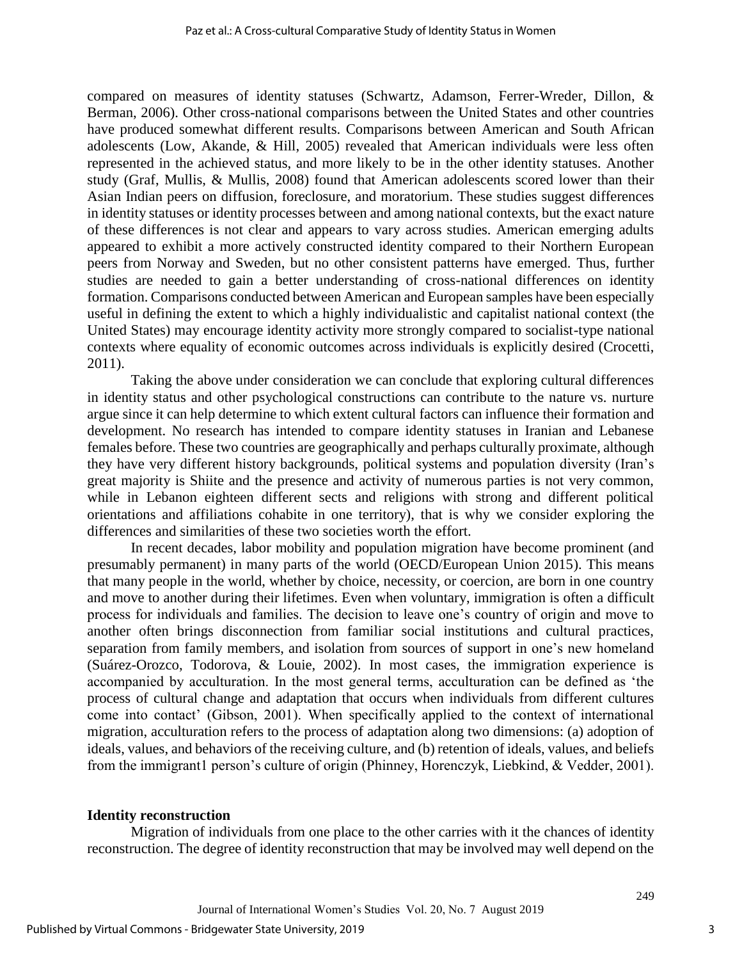compared on measures of identity statuses (Schwartz, Adamson, Ferrer-Wreder, Dillon, & Berman, 2006). Other cross-national comparisons between the United States and other countries have produced somewhat different results. Comparisons between American and South African adolescents (Low, Akande, & Hill, 2005) revealed that American individuals were less often represented in the achieved status, and more likely to be in the other identity statuses. Another study (Graf, Mullis, & Mullis, 2008) found that American adolescents scored lower than their Asian Indian peers on diffusion, foreclosure, and moratorium. These studies suggest differences in identity statuses or identity processes between and among national contexts, but the exact nature of these differences is not clear and appears to vary across studies. American emerging adults appeared to exhibit a more actively constructed identity compared to their Northern European peers from Norway and Sweden, but no other consistent patterns have emerged. Thus, further studies are needed to gain a better understanding of cross-national differences on identity formation. Comparisons conducted between American and European samples have been especially useful in defining the extent to which a highly individualistic and capitalist national context (the United States) may encourage identity activity more strongly compared to socialist-type national contexts where equality of economic outcomes across individuals is explicitly desired (Crocetti, 2011).

Taking the above under consideration we can conclude that exploring cultural differences in identity status and other psychological constructions can contribute to the nature vs. nurture argue since it can help determine to which extent cultural factors can influence their formation and development. No research has intended to compare identity statuses in Iranian and Lebanese females before. These two countries are geographically and perhaps culturally proximate, although they have very different history backgrounds, political systems and population diversity (Iran's great majority is Shiite and the presence and activity of numerous parties is not very common, while in Lebanon eighteen different sects and religions with strong and different political orientations and affiliations cohabite in one territory), that is why we consider exploring the differences and similarities of these two societies worth the effort.

In recent decades, labor mobility and population migration have become prominent (and presumably permanent) in many parts of the world (OECD/European Union 2015). This means that many people in the world, whether by choice, necessity, or coercion, are born in one country and move to another during their lifetimes. Even when voluntary, immigration is often a difficult process for individuals and families. The decision to leave one's country of origin and move to another often brings disconnection from familiar social institutions and cultural practices, separation from family members, and isolation from sources of support in one's new homeland (Suárez-Orozco, Todorova, & Louie, 2002). In most cases, the immigration experience is accompanied by acculturation. In the most general terms, acculturation can be defined as 'the process of cultural change and adaptation that occurs when individuals from different cultures come into contact' (Gibson, 2001). When specifically applied to the context of international migration, acculturation refers to the process of adaptation along two dimensions: (a) adoption of ideals, values, and behaviors of the receiving culture, and (b) retention of ideals, values, and beliefs from the immigrant1 person's culture of origin (Phinney, Horenczyk, Liebkind, & Vedder, 2001).

#### **Identity reconstruction**

Migration of individuals from one place to the other carries with it the chances of identity reconstruction. The degree of identity reconstruction that may be involved may well depend on the

3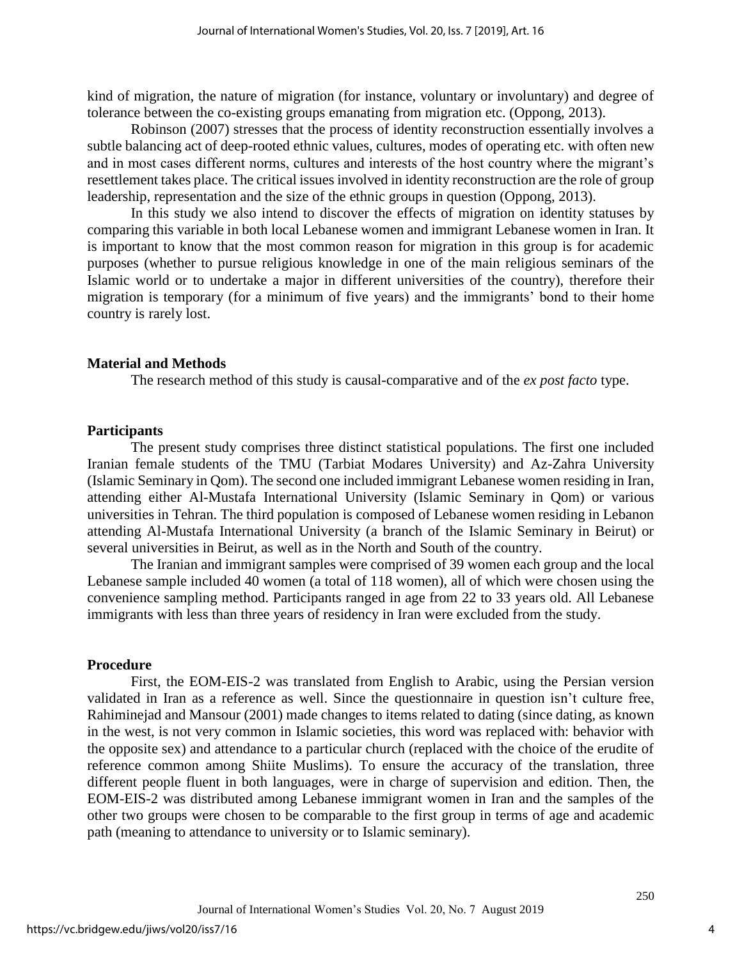kind of migration, the nature of migration (for instance, voluntary or involuntary) and degree of tolerance between the co-existing groups emanating from migration etc. (Oppong, 2013).

Robinson (2007) stresses that the process of identity reconstruction essentially involves a subtle balancing act of deep-rooted ethnic values, cultures, modes of operating etc. with often new and in most cases different norms, cultures and interests of the host country where the migrant's resettlement takes place. The critical issues involved in identity reconstruction are the role of group leadership, representation and the size of the ethnic groups in question (Oppong, 2013).

In this study we also intend to discover the effects of migration on identity statuses by comparing this variable in both local Lebanese women and immigrant Lebanese women in Iran. It is important to know that the most common reason for migration in this group is for academic purposes (whether to pursue religious knowledge in one of the main religious seminars of the Islamic world or to undertake a major in different universities of the country), therefore their migration is temporary (for a minimum of five years) and the immigrants' bond to their home country is rarely lost.

#### **Material and Methods**

The research method of this study is causal-comparative and of the *ex post facto* type.

#### **Participants**

The present study comprises three distinct statistical populations. The first one included Iranian female students of the TMU (Tarbiat Modares University) and Az-Zahra University (Islamic Seminary in Qom). The second one included immigrant Lebanese women residing in Iran, attending either Al-Mustafa International University (Islamic Seminary in Qom) or various universities in Tehran. The third population is composed of Lebanese women residing in Lebanon attending Al-Mustafa International University (a branch of the Islamic Seminary in Beirut) or several universities in Beirut, as well as in the North and South of the country.

The Iranian and immigrant samples were comprised of 39 women each group and the local Lebanese sample included 40 women (a total of 118 women), all of which were chosen using the convenience sampling method. Participants ranged in age from 22 to 33 years old. All Lebanese immigrants with less than three years of residency in Iran were excluded from the study.

#### **Procedure**

First, the EOM-EIS-2 was translated from English to Arabic, using the Persian version validated in Iran as a reference as well. Since the questionnaire in question isn't culture free, Rahiminejad and Mansour (2001) made changes to items related to dating (since dating, as known in the west, is not very common in Islamic societies, this word was replaced with: behavior with the opposite sex) and attendance to a particular church (replaced with the choice of the erudite of reference common among Shiite Muslims). To ensure the accuracy of the translation, three different people fluent in both languages, were in charge of supervision and edition. Then, the EOM-EIS-2 was distributed among Lebanese immigrant women in Iran and the samples of the other two groups were chosen to be comparable to the first group in terms of age and academic path (meaning to attendance to university or to Islamic seminary).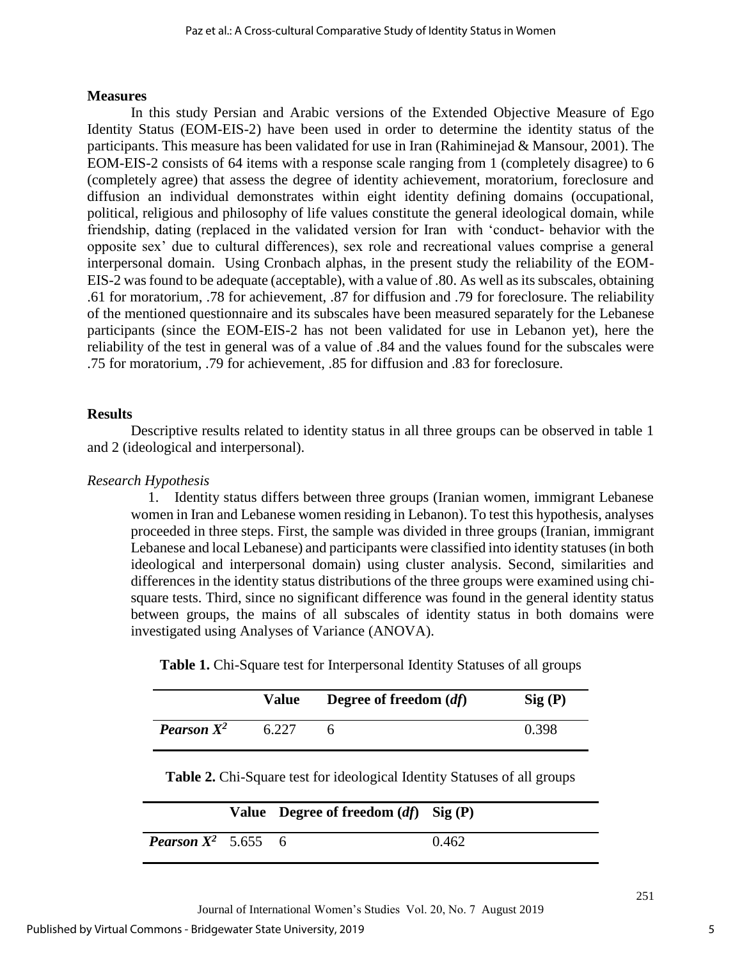### **Measures**

In this study Persian and Arabic versions of the Extended Objective Measure of Ego Identity Status (EOM-EIS-2) have been used in order to determine the identity status of the participants. This measure has been validated for use in Iran (Rahiminejad & Mansour, 2001). The EOM-EIS-2 consists of 64 items with a response scale ranging from 1 (completely disagree) to 6 (completely agree) that assess the degree of identity achievement, moratorium, foreclosure and diffusion an individual demonstrates within eight identity defining domains (occupational, political, religious and philosophy of life values constitute the general ideological domain, while friendship, dating (replaced in the validated version for Iran with 'conduct- behavior with the opposite sex' due to cultural differences), sex role and recreational values comprise a general interpersonal domain. Using Cronbach alphas, in the present study the reliability of the EOM-EIS-2 was found to be adequate (acceptable), with a value of .80. As well as its subscales, obtaining .61 for moratorium, .78 for achievement, .87 for diffusion and .79 for foreclosure. The reliability of the mentioned questionnaire and its subscales have been measured separately for the Lebanese participants (since the EOM-EIS-2 has not been validated for use in Lebanon yet), here the reliability of the test in general was of a value of .84 and the values found for the subscales were .75 for moratorium, .79 for achievement, .85 for diffusion and .83 for foreclosure.

# **Results**

Descriptive results related to identity status in all three groups can be observed in table 1 and 2 (ideological and interpersonal).

# *Research Hypothesis*

1. Identity status differs between three groups (Iranian women, immigrant Lebanese women in Iran and Lebanese women residing in Lebanon). To test this hypothesis, analyses proceeded in three steps. First, the sample was divided in three groups (Iranian, immigrant Lebanese and local Lebanese) and participants were classified into identity statuses (in both ideological and interpersonal domain) using cluster analysis. Second, similarities and differences in the identity status distributions of the three groups were examined using chisquare tests. Third, since no significant difference was found in the general identity status between groups, the mains of all subscales of identity status in both domains were investigated using Analyses of Variance (ANOVA).

**Table 1.** Chi-Square test for Interpersonal Identity Statuses of all groups

|                      | Value | Degree of freedom (df) | Sig(P) |
|----------------------|-------|------------------------|--------|
| <b>Pearson</b> $X^2$ | 6.227 |                        | 0.398  |

**Table 2.** Chi-Square test for ideological Identity Statuses of all groups

|                                         | Value Degree of freedom $(df)$ Sig (P) |       |
|-----------------------------------------|----------------------------------------|-------|
| <b>Pearson <math>X^2</math></b> 5.655 6 |                                        | 0.462 |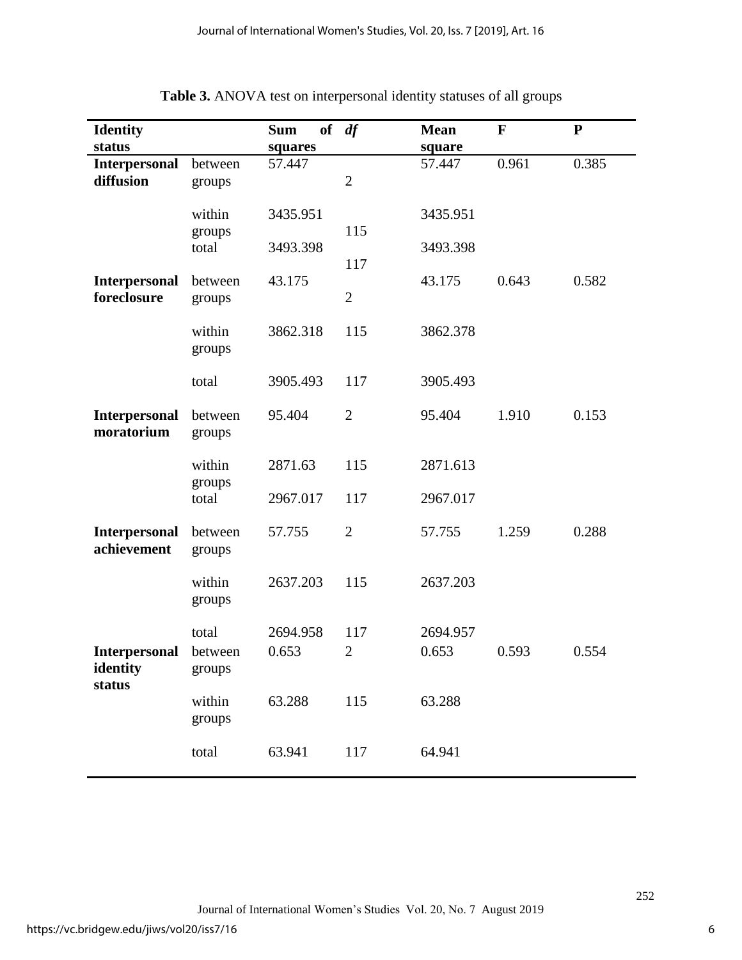| <b>Identity</b>                            |                            | <b>Sum</b>           | of $df$               | <b>Mean</b>          | $\mathbf{F}$ | ${\bf P}$ |
|--------------------------------------------|----------------------------|----------------------|-----------------------|----------------------|--------------|-----------|
| status                                     |                            | squares              |                       | square               |              |           |
| <b>Interpersonal</b><br>diffusion          | between<br>groups          | 57.447               | $\overline{2}$        | 57.447               | 0.961        | 0.385     |
|                                            | within<br>groups<br>total  | 3435.951<br>3493.398 | 115                   | 3435.951<br>3493.398 |              |           |
| <b>Interpersonal</b><br>foreclosure        | between<br>groups          | 43.175               | 117<br>$\overline{2}$ | 43.175               | 0.643        | 0.582     |
|                                            | within<br>groups           | 3862.318             | 115                   | 3862.378             |              |           |
|                                            | total                      | 3905.493             | 117                   | 3905.493             |              |           |
| <b>Interpersonal</b><br>moratorium         | between<br>groups          | 95.404               | $\overline{2}$        | 95.404               | 1.910        | 0.153     |
|                                            | within<br>groups           | 2871.63              | 115                   | 2871.613             |              |           |
|                                            | total                      | 2967.017             | 117                   | 2967.017             |              |           |
| <b>Interpersonal</b><br>achievement        | between<br>groups          | 57.755               | $\overline{2}$        | 57.755               | 1.259        | 0.288     |
|                                            | within<br>groups           | 2637.203             | 115                   | 2637.203             |              |           |
| <b>Interpersonal</b><br>identity<br>status | total<br>between<br>groups | 2694.958<br>0.653    | 117<br>$\overline{c}$ | 2694.957<br>0.653    | 0.593        | 0.554     |
|                                            | within<br>groups           | 63.288               | 115                   | 63.288               |              |           |
|                                            | total                      | 63.941               | 117                   | 64.941               |              |           |

# **Table 3.** ANOVA test on interpersonal identity statuses of all groups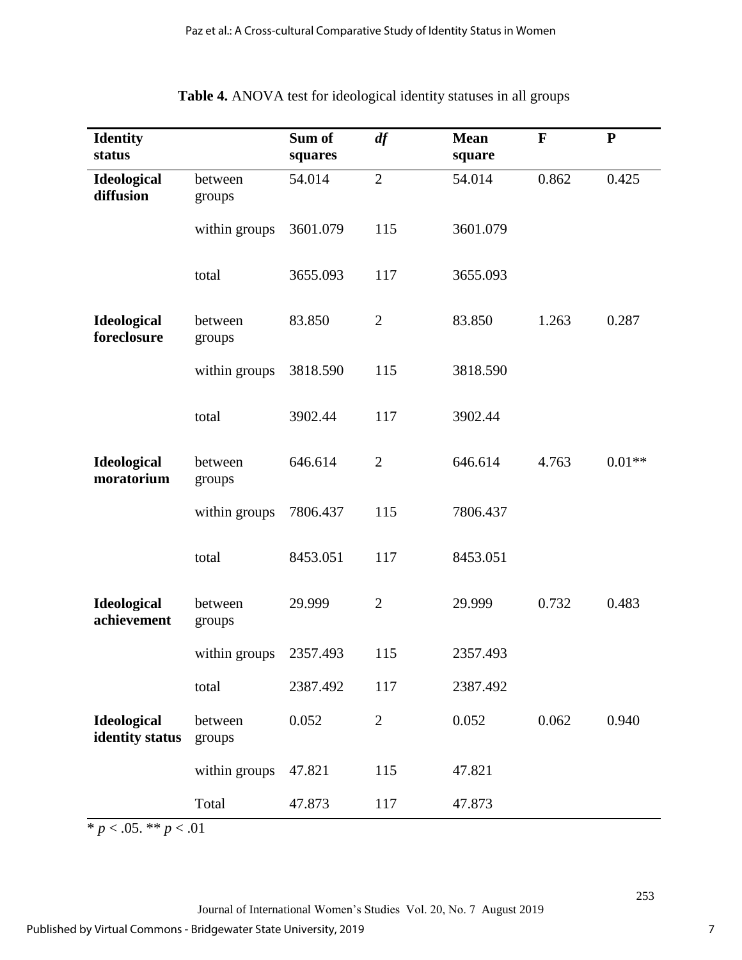| <b>Identity</b><br>status             |                   | Sum of<br>squares | df             | <b>Mean</b><br>square | $\mathbf F$ | ${\bf P}$ |
|---------------------------------------|-------------------|-------------------|----------------|-----------------------|-------------|-----------|
| Ideological<br>diffusion              | between<br>groups | 54.014            | $\overline{2}$ | 54.014                | 0.862       | 0.425     |
|                                       | within groups     | 3601.079          | 115            | 3601.079              |             |           |
|                                       | total             | 3655.093          | 117            | 3655.093              |             |           |
| <b>Ideological</b><br>foreclosure     | between<br>groups | 83.850            | $\mathbf{2}$   | 83.850                | 1.263       | 0.287     |
|                                       | within groups     | 3818.590          | 115            | 3818.590              |             |           |
|                                       | total             | 3902.44           | 117            | 3902.44               |             |           |
| Ideological<br>moratorium             | between<br>groups | 646.614           | $\overline{2}$ | 646.614               | 4.763       | $0.01**$  |
|                                       | within groups     | 7806.437          | 115            | 7806.437              |             |           |
|                                       | total             | 8453.051          | 117            | 8453.051              |             |           |
| Ideological<br>achievement            | between<br>groups | 29.999            | $\mathbf{2}$   | 29.999                | 0.732       | 0.483     |
|                                       | within groups     | 2357.493          | 115            | 2357.493              |             |           |
|                                       | total             | 2387.492          | 117            | 2387.492              |             |           |
| <b>Ideological</b><br>identity status | between<br>groups | 0.052             | $\mathbf{2}$   | 0.052                 | 0.062       | 0.940     |
|                                       | within groups     | 47.821            | 115            | 47.821                |             |           |
|                                       | Total             | 47.873            | 117            | 47.873                |             |           |

# **Table 4.** ANOVA test for ideological identity statuses in all groups

 $\frac{1}{2}$  *w*  $p < .05$ . \*\* *p* < .01

Journal of International Women's Studies Vol. 20, No. 7 August 2019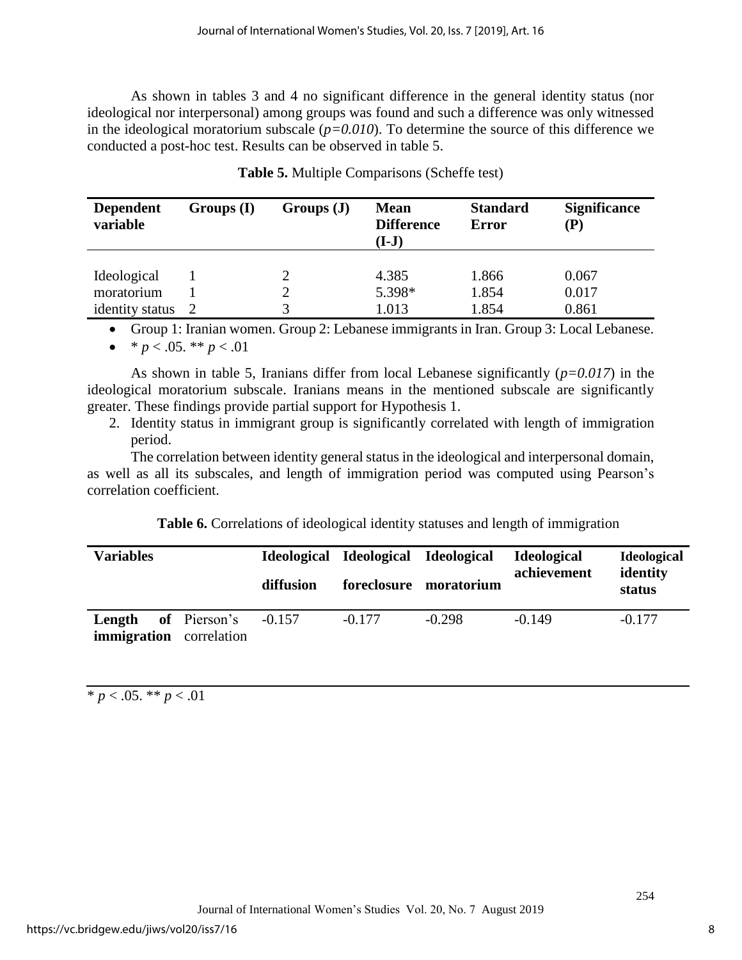As shown in tables 3 and 4 no significant difference in the general identity status (nor ideological nor interpersonal) among groups was found and such a difference was only witnessed in the ideological moratorium subscale (*p=0.010*). To determine the source of this difference we conducted a post-hoc test. Results can be observed in table 5.

| <b>Dependent</b><br>variable | Groups(I) | Groups(J) | <b>Mean</b><br><b>Difference</b><br>$(I-J)$ | <b>Standard</b><br><b>Error</b> | <b>Significance</b><br>(P) |
|------------------------------|-----------|-----------|---------------------------------------------|---------------------------------|----------------------------|
|                              |           |           |                                             |                                 |                            |
| Ideological                  |           |           | 4.385                                       | 1.866                           | 0.067                      |
| moratorium                   |           |           | 5.398*                                      | 1.854                           | 0.017                      |
| identity status              |           |           | 1.013                                       | 1.854                           | 0.861                      |

**Table 5.** Multiple Comparisons (Scheffe test)

• Group 1: Iranian women. Group 2: Lebanese immigrants in Iran. Group 3: Local Lebanese.

•  $* p < .05.$  \*\*  $p < .01$ 

As shown in table 5, Iranians differ from local Lebanese significantly (*p=0.017*) in the ideological moratorium subscale. Iranians means in the mentioned subscale are significantly greater. These findings provide partial support for Hypothesis 1.

2. Identity status in immigrant group is significantly correlated with length of immigration period.

The correlation between identity general status in the ideological and interpersonal domain, as well as all its subscales, and length of immigration period was computed using Pearson's correlation coefficient.

**Table 6.** Correlations of ideological identity statuses and length of immigration

| <b>Variables</b>                         |              | diffusion | Ideological Ideological Ideological | foreclosure moratorium | <b>Ideological</b><br>achievement | <b>Ideological</b><br>identity<br>status |
|------------------------------------------|--------------|-----------|-------------------------------------|------------------------|-----------------------------------|------------------------------------------|
| Length<br><b>immigration</b> correlation | of Pierson's | $-0.157$  | $-0.177$                            | $-0.298$               | $-0.149$                          | $-0.177$                                 |

 $\overline{* p} < .05. \overline{*} * p < .01$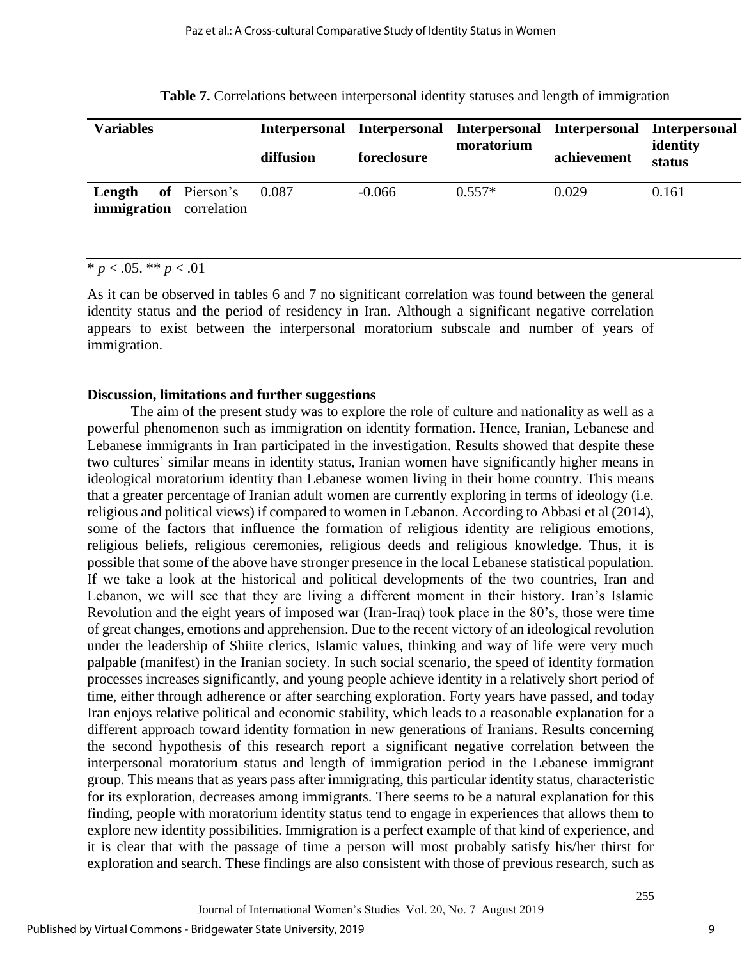| <b>Variables</b>                                             | diffusion | foreclosure | moratorium | Interpersonal Interpersonal Interpersonal Interpersonal Interpersonal<br>achievement | identity<br>status |
|--------------------------------------------------------------|-----------|-------------|------------|--------------------------------------------------------------------------------------|--------------------|
| <b>Length</b> of Pierson's<br><b>immigration</b> correlation | 0.087     | $-0.066$    | $0.557*$   | 0.029                                                                                | 0.161              |

**Table 7.** Correlations between interpersonal identity statuses and length of immigration

# $* p < .05$ . \*\*  $p < .01$

As it can be observed in tables 6 and 7 no significant correlation was found between the general identity status and the period of residency in Iran. Although a significant negative correlation appears to exist between the interpersonal moratorium subscale and number of years of immigration.

### **Discussion, limitations and further suggestions**

The aim of the present study was to explore the role of culture and nationality as well as a powerful phenomenon such as immigration on identity formation. Hence, Iranian, Lebanese and Lebanese immigrants in Iran participated in the investigation. Results showed that despite these two cultures' similar means in identity status, Iranian women have significantly higher means in ideological moratorium identity than Lebanese women living in their home country. This means that a greater percentage of Iranian adult women are currently exploring in terms of ideology (i.e. religious and political views) if compared to women in Lebanon. According to Abbasi et al (2014), some of the factors that influence the formation of religious identity are religious emotions, religious beliefs, religious ceremonies, religious deeds and religious knowledge. Thus, it is possible that some of the above have stronger presence in the local Lebanese statistical population. If we take a look at the historical and political developments of the two countries, Iran and Lebanon, we will see that they are living a different moment in their history. Iran's Islamic Revolution and the eight years of imposed war (Iran-Iraq) took place in the 80's, those were time of great changes, emotions and apprehension. Due to the recent victory of an ideological revolution under the leadership of Shiite clerics, Islamic values, thinking and way of life were very much palpable (manifest) in the Iranian society. In such social scenario, the speed of identity formation processes increases significantly, and young people achieve identity in a relatively short period of time, either through adherence or after searching exploration. Forty years have passed, and today Iran enjoys relative political and economic stability, which leads to a reasonable explanation for a different approach toward identity formation in new generations of Iranians. Results concerning the second hypothesis of this research report a significant negative correlation between the interpersonal moratorium status and length of immigration period in the Lebanese immigrant group. This means that as years pass after immigrating, this particular identity status, characteristic for its exploration, decreases among immigrants. There seems to be a natural explanation for this finding, people with moratorium identity status tend to engage in experiences that allows them to explore new identity possibilities. Immigration is a perfect example of that kind of experience, and it is clear that with the passage of time a person will most probably satisfy his/her thirst for exploration and search. These findings are also consistent with those of previous research, such as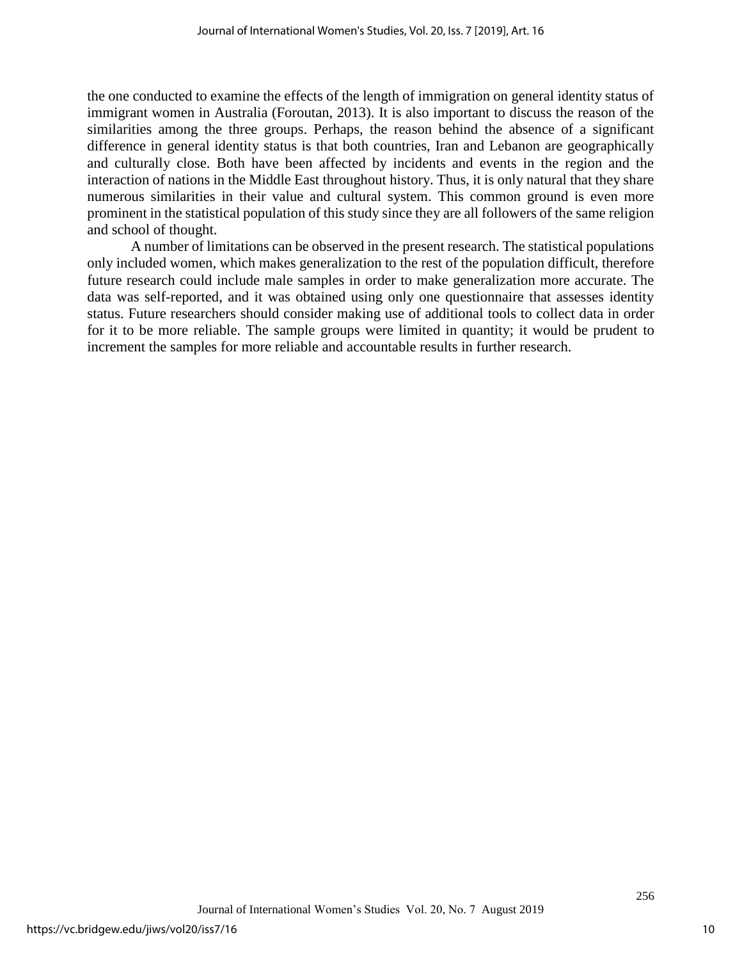the one conducted to examine the effects of the length of immigration on general identity status of immigrant women in Australia (Foroutan, 2013). It is also important to discuss the reason of the similarities among the three groups. Perhaps, the reason behind the absence of a significant difference in general identity status is that both countries, Iran and Lebanon are geographically and culturally close. Both have been affected by incidents and events in the region and the interaction of nations in the Middle East throughout history. Thus, it is only natural that they share numerous similarities in their value and cultural system. This common ground is even more prominent in the statistical population of this study since they are all followers of the same religion and school of thought.

A number of limitations can be observed in the present research. The statistical populations only included women, which makes generalization to the rest of the population difficult, therefore future research could include male samples in order to make generalization more accurate. The data was self-reported, and it was obtained using only one questionnaire that assesses identity status. Future researchers should consider making use of additional tools to collect data in order for it to be more reliable. The sample groups were limited in quantity; it would be prudent to increment the samples for more reliable and accountable results in further research.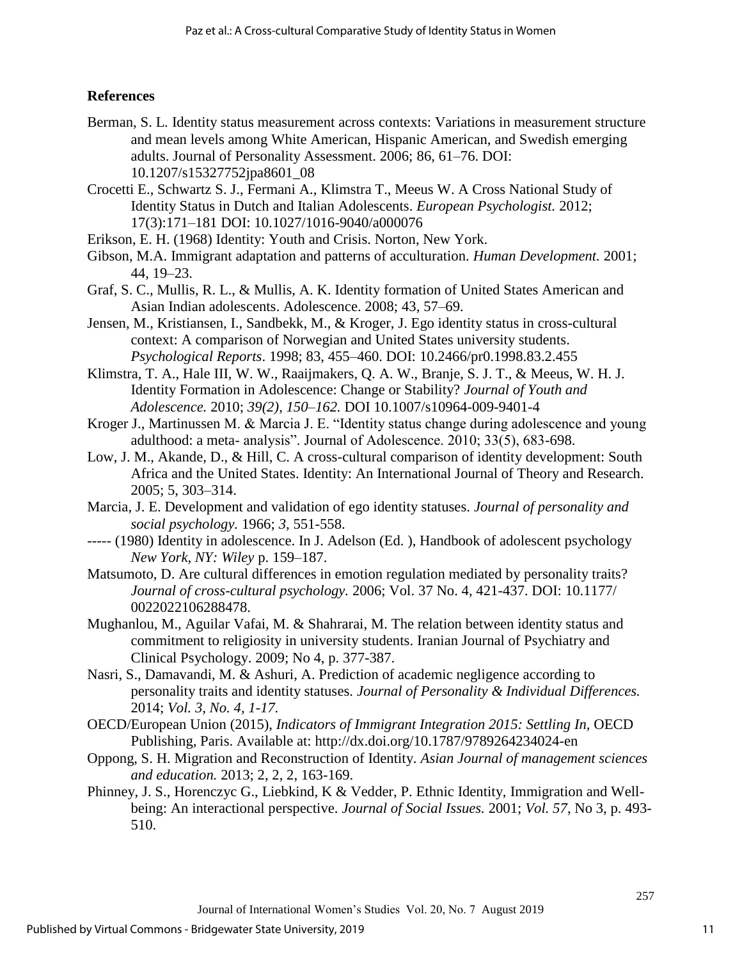# **References**

- Berman, S. L. Identity status measurement across contexts: Variations in measurement structure and mean levels among White American, Hispanic American, and Swedish emerging adults. Journal of Personality Assessment. 2006; 86, 61–76. DOI: 10.1207/s15327752jpa8601\_08
- Crocetti E., Schwartz S. J., Fermani A., Klimstra T., Meeus W. A Cross National Study of Identity Status in Dutch and Italian Adolescents. *European Psychologist.* 2012; 17(3):171–181 DOI: 10.1027/1016-9040/a000076
- Erikson, E. H. (1968) Identity: Youth and Crisis. Norton, New York.
- Gibson, M.A. Immigrant adaptation and patterns of acculturation. *Human Development.* 2001; 44, 19–23.
- Graf, S. C., Mullis, R. L., & Mullis, A. K. Identity formation of United States American and Asian Indian adolescents. Adolescence. 2008; 43, 57–69.
- Jensen, M., Kristiansen, I., Sandbekk, M., & Kroger, J. Ego identity status in cross-cultural context: A comparison of Norwegian and United States university students. *Psychological Reports*. 1998; 83, 455–460. DOI: 10.2466/pr0.1998.83.2.455
- Klimstra, T. A., Hale III, W. W., Raaijmakers, Q. A. W., Branje, S. J. T., & Meeus, W. H. J. Identity Formation in Adolescence: Change or Stability? *Journal of Youth and Adolescence.* 2010; *39(2), 150–162.* DOI 10.1007/s10964-009-9401-4
- Kroger J., Martinussen M. & Marcia J. E. "Identity status change during adolescence and young adulthood: a meta- analysis". Journal of Adolescence. 2010; 33(5), 683-698.
- Low, J. M., Akande, D., & Hill, C. A cross-cultural comparison of identity development: South Africa and the United States. Identity: An International Journal of Theory and Research. 2005; 5, 303–314.
- Marcia, J. E. Development and validation of ego identity statuses. *Journal of personality and social psychology.* 1966; *3*, 551-558.
- ----- (1980) Identity in adolescence. In J. Adelson (Ed. ), Handbook of adolescent psychology *New York, NY: Wiley* p. 159–187.
- Matsumoto, D. Are cultural differences in emotion regulation mediated by personality traits? *Journal of cross-cultural psychology.* 2006; Vol. 37 No. 4, 421-437. DOI: 10.1177/ 0022022106288478.
- Mughanlou, M., Aguilar Vafai, M. & Shahrarai, M. The relation between identity status and commitment to religiosity in university students. Iranian Journal of Psychiatry and Clinical Psychology. 2009; No 4, p. 377-387.
- Nasri, S., Damavandi, M. & Ashuri, A. Prediction of academic negligence according to personality traits and identity statuses. *Journal of Personality & Individual Differences.*  2014; *Vol. 3, No. 4, 1-17.*
- OECD/European Union (2015), *Indicators of Immigrant Integration 2015: Settling In,* OECD Publishing, Paris. Available at: http://dx.doi.org/10.1787/9789264234024-en
- Oppong, S. H. Migration and Reconstruction of Identity. *Asian Journal of management sciences and education.* 2013; 2, 2, 2, 163-169.
- Phinney, J. S., Horenczyc G., Liebkind, K & Vedder, P. Ethnic Identity, Immigration and Wellbeing: An interactional perspective. *Journal of Social Issues.* 2001; *Vol. 57*, No 3, p. 493- 510.

11